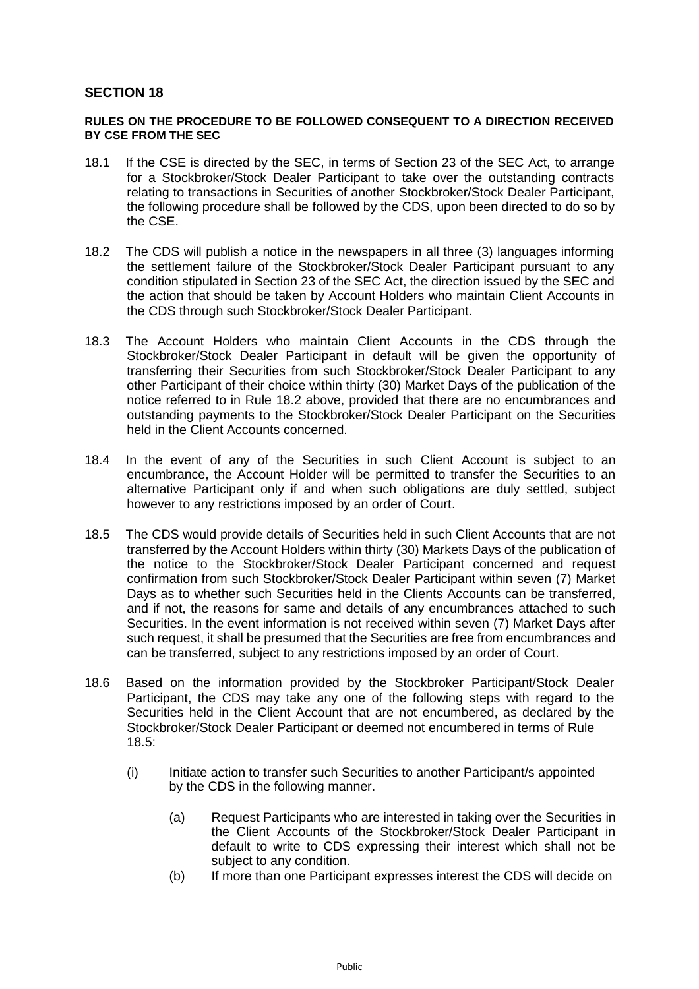## **SECTION 18**

## **RULES ON THE PROCEDURE TO BE FOLLOWED CONSEQUENT TO A DIRECTION RECEIVED BY CSE FROM THE SEC**

- 18.1 If the CSE is directed by the SEC, in terms of Section 23 of the SEC Act, to arrange for a Stockbroker/Stock Dealer Participant to take over the outstanding contracts relating to transactions in Securities of another Stockbroker/Stock Dealer Participant, the following procedure shall be followed by the CDS, upon been directed to do so by the CSE.
- 18.2 The CDS will publish a notice in the newspapers in all three (3) languages informing the settlement failure of the Stockbroker/Stock Dealer Participant pursuant to any condition stipulated in Section 23 of the SEC Act, the direction issued by the SEC and the action that should be taken by Account Holders who maintain Client Accounts in the CDS through such Stockbroker/Stock Dealer Participant.
- 18.3 The Account Holders who maintain Client Accounts in the CDS through the Stockbroker/Stock Dealer Participant in default will be given the opportunity of transferring their Securities from such Stockbroker/Stock Dealer Participant to any other Participant of their choice within thirty (30) Market Days of the publication of the notice referred to in Rule 18.2 above, provided that there are no encumbrances and outstanding payments to the Stockbroker/Stock Dealer Participant on the Securities held in the Client Accounts concerned.
- 18.4 In the event of any of the Securities in such Client Account is subject to an encumbrance, the Account Holder will be permitted to transfer the Securities to an alternative Participant only if and when such obligations are duly settled, subject however to any restrictions imposed by an order of Court.
- 18.5 The CDS would provide details of Securities held in such Client Accounts that are not transferred by the Account Holders within thirty (30) Markets Days of the publication of the notice to the Stockbroker/Stock Dealer Participant concerned and request confirmation from such Stockbroker/Stock Dealer Participant within seven (7) Market Days as to whether such Securities held in the Clients Accounts can be transferred, and if not, the reasons for same and details of any encumbrances attached to such Securities. In the event information is not received within seven (7) Market Days after such request, it shall be presumed that the Securities are free from encumbrances and can be transferred, subject to any restrictions imposed by an order of Court.
- 18.6 Based on the information provided by the Stockbroker Participant/Stock Dealer Participant, the CDS may take any one of the following steps with regard to the Securities held in the Client Account that are not encumbered, as declared by the Stockbroker/Stock Dealer Participant or deemed not encumbered in terms of Rule 18.5:
	- (i) Initiate action to transfer such Securities to another Participant/s appointed by the CDS in the following manner.
		- (a) Request Participants who are interested in taking over the Securities in the Client Accounts of the Stockbroker/Stock Dealer Participant in default to write to CDS expressing their interest which shall not be subject to any condition.
		- (b) If more than one Participant expresses interest the CDS will decide on